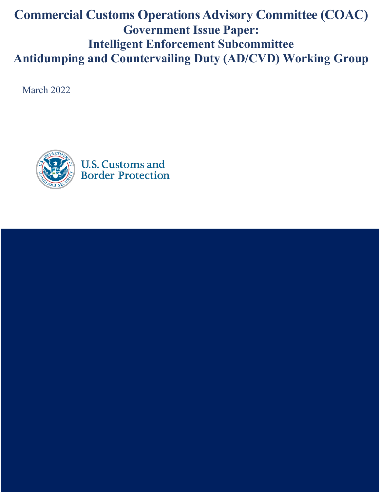# **Commercial Customs Operations Advisory Committee (COAC) Government Issue Paper: Intelligent Enforcement Subcommittee Antidumping and Countervailing Duty (AD/CVD) Working Group**

March 2022